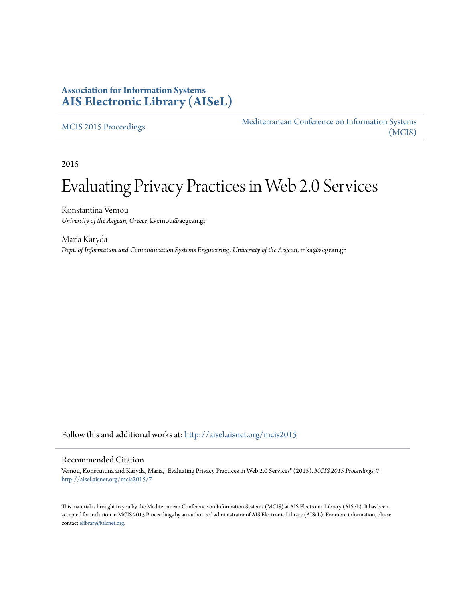## **Association for Information Systems [AIS Electronic Library \(AISeL\)](http://aisel.aisnet.org?utm_source=aisel.aisnet.org%2Fmcis2015%2F7&utm_medium=PDF&utm_campaign=PDFCoverPages)**

[MCIS 2015 Proceedings](http://aisel.aisnet.org/mcis2015?utm_source=aisel.aisnet.org%2Fmcis2015%2F7&utm_medium=PDF&utm_campaign=PDFCoverPages)

[Mediterranean Conference on Information Systems](http://aisel.aisnet.org/mcis?utm_source=aisel.aisnet.org%2Fmcis2015%2F7&utm_medium=PDF&utm_campaign=PDFCoverPages) [\(MCIS\)](http://aisel.aisnet.org/mcis?utm_source=aisel.aisnet.org%2Fmcis2015%2F7&utm_medium=PDF&utm_campaign=PDFCoverPages)

2015

# Evaluating Privacy Practices in Web 2.0 Services

Konstantina Vemou *University of the Aegean, Greece*, kvemou@aegean.gr

Maria Karyda *Dept. of Information and Communication Systems Engineering, University of the Aegean*, mka@aegean.gr

Follow this and additional works at: [http://aisel.aisnet.org/mcis2015](http://aisel.aisnet.org/mcis2015?utm_source=aisel.aisnet.org%2Fmcis2015%2F7&utm_medium=PDF&utm_campaign=PDFCoverPages)

#### Recommended Citation

Vemou, Konstantina and Karyda, Maria, "Evaluating Privacy Practices in Web 2.0 Services" (2015). *MCIS 2015 Proceedings*. 7. [http://aisel.aisnet.org/mcis2015/7](http://aisel.aisnet.org/mcis2015/7?utm_source=aisel.aisnet.org%2Fmcis2015%2F7&utm_medium=PDF&utm_campaign=PDFCoverPages)

This material is brought to you by the Mediterranean Conference on Information Systems (MCIS) at AIS Electronic Library (AISeL). It has been accepted for inclusion in MCIS 2015 Proceedings by an authorized administrator of AIS Electronic Library (AISeL). For more information, please contact [elibrary@aisnet.org.](mailto:elibrary@aisnet.org%3E)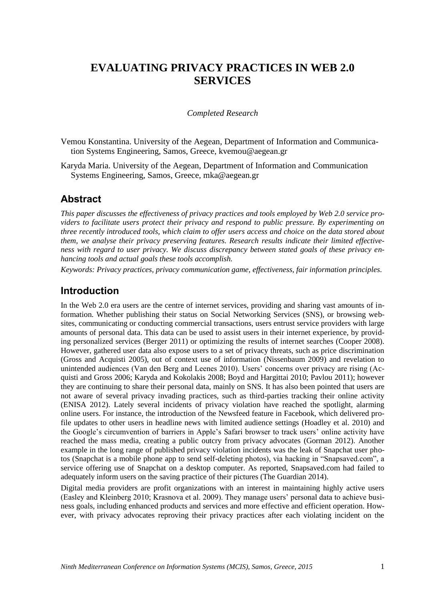# **EVALUATING PRIVACY PRACTICES IN WEB 2.0 SERVICES**

#### *Completed Research*

Vemou Konstantina. University of the Aegean, Department of Information and Communication Systems Engineering, Samos, Greece, kvemou@aegean.gr

Karyda Maria. University of the Aegean, Department of Information and Communication Systems Engineering, Samos, Greece, [mka@aegean.gr](mailto:mka@aegean.gr)

## **Abstract**

*This paper discusses the effectiveness of privacy practices and tools employed by Web 2.0 service providers to facilitate users protect their privacy and respond to public pressure. By experimenting on three recently introduced tools, which claim to offer users access and choice on the data stored about them, we analyse their privacy preserving features. Research results indicate their limited effectiveness with regard to user privacy. We discuss discrepancy between stated goals of these privacy enhancing tools and actual goals these tools accomplish.*

*Keywords: Privacy practices, privacy communication game, effectiveness, fair information principles.*

## **Introduction**

In the Web 2.0 era users are the centre of internet services, providing and sharing vast amounts of information. Whether publishing their status on Social Networking Services (SNS), or browsing websites, communicating or conducting commercial transactions, users entrust service providers with large amounts of personal data. This data can be used to assist users in their internet experience, by providing personalized services (Berger 2011) or optimizing the results of internet searches (Cooper 2008). However, gathered user data also expose users to a set of privacy threats, such as price discrimination (Gross and Acquisti 2005), out of context use of information (Nissenbaum 2009) and revelation to unintended audiences (Van den Berg and Leenes 2010). Users' concerns over privacy are rising (Acquisti and Gross 2006; Karyda and Kokolakis 2008; Boyd and Hargittai 2010; Pavlou 2011); however they are continuing to share their personal data, mainly on SNS. It has also been pointed that users are not aware of several privacy invading practices, such as third-parties tracking their online activity (ENISA 2012). Lately several incidents of privacy violation have reached the spotlight, alarming online users. For instance, the introduction of the Newsfeed feature in Facebook, which delivered profile updates to other users in headline news with limited audience settings (Hoadley et al. 2010) and the Google's circumvention of barriers in Apple's Safari browser to track users' online activity have reached the mass media, creating a public outcry from privacy advocates (Gorman 2012). Another example in the long range of published privacy violation incidents was the leak of Snapchat user photos (Snapchat is a mobile phone app to send self-deleting photos), via hacking in "Snapsaved.com", a service offering use of Snapchat on a desktop computer. As reported, Snapsaved.com had failed to adequately inform users on the saving practice of their pictures (The Guardian 2014).

Digital media providers are profit organizations with an interest in maintaining highly active users (Easley and Kleinberg 2010; Krasnova et al. 2009). They manage users' personal data to achieve business goals, including enhanced products and services and more effective and efficient operation. However, with privacy advocates reproving their privacy practices after each violating incident on the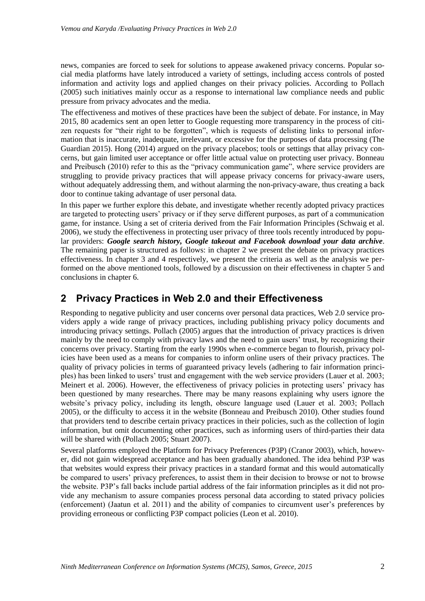news, companies are forced to seek for solutions to appease awakened privacy concerns. Popular social media platforms have lately introduced a variety of settings, including access controls of posted information and activity logs and applied changes on their privacy policies. According to Pollach (2005) such initiatives mainly occur as a response to international law compliance needs and public pressure from privacy advocates and the media.

The effectiveness and motives of these practices have been the subject of debate. For instance, in May 2015, 80 academics sent an open letter to Google requesting more transparency in the process of citizen requests for "their right to be forgotten", which is requests of delisting links to personal information that is inaccurate, inadequate, irrelevant, or excessive for the purposes of data processing (The Guardian 2015). Hong (2014) argued on the privacy placebos; tools or settings that allay privacy concerns, but gain limited user acceptance or offer little actual value on protecting user privacy. Bonneau and Preibusch (2010) refer to this as the "privacy communication game", where service providers are struggling to provide privacy practices that will appease privacy concerns for privacy-aware users, without adequately addressing them, and without alarming the non-privacy-aware, thus creating a back door to continue taking advantage of user personal data.

In this paper we further explore this debate, and investigate whether recently adopted privacy practices are targeted to protecting users' privacy or if they serve different purposes, as part of a communication game, for instance. Using a set of criteria derived from the Fair Information Principles (Schwaig et al. 2006), we study the effectiveness in protecting user privacy of three tools recently introduced by popular providers: *Google search history, Google takeout and Facebook download your data archive*. The remaining paper is structured as follows: in chapter 2 we present the debate on privacy practices effectiveness. In chapter 3 and 4 respectively, we present the criteria as well as the analysis we performed on the above mentioned tools, followed by a discussion on their effectiveness in chapter 5 and conclusions in chapter 6.

## **2 Privacy Practices in Web 2.0 and their Effectiveness**

Responding to negative publicity and user concerns over personal data practices, Web 2.0 service providers apply a wide range of privacy practices, including publishing privacy policy documents and introducing privacy settings. Pollach (2005) argues that the introduction of privacy practices is driven mainly by the need to comply with privacy laws and the need to gain users' trust, by recognizing their concerns over privacy. Starting from the early 1990s when e-commerce began to flourish, privacy policies have been used as a means for companies to inform online users of their privacy practices. The quality of privacy policies in terms of guaranteed privacy levels (adhering to fair information principles) has been linked to users' trust and engagement with the web service providers (Lauer et al. 2003; Meinert et al. 2006). However, the effectiveness of privacy policies in protecting users' privacy has been questioned by many researches. There may be many reasons explaining why users ignore the website's privacy policy, including its length, obscure language used (Lauer et al. 2003; Pollach 2005), or the difficulty to access it in the website (Bonneau and Preibusch 2010). Other studies found that providers tend to describe certain privacy practices in their policies, such as the collection of login information, but omit documenting other practices, such as informing users of third-parties their data will be shared with (Pollach 2005; Stuart 2007).

Several platforms employed the Platform for Privacy Preferences (P3P) (Cranor 2003), which, however, did not gain widespread acceptance and has been gradually abandoned. The idea behind P3P was that websites would express their privacy practices in a standard format and this would automatically be compared to users' privacy preferences, to assist them in their decision to browse or not to browse the website. P3P's fall backs include partial address of the fair information principles as it did not provide any mechanism to assure companies process personal data according to stated privacy policies (enforcement) (Jaatun et al. 2011) and the ability of companies to circumvent user's preferences by providing erroneous or conflicting P3P compact policies (Leon et al. 2010).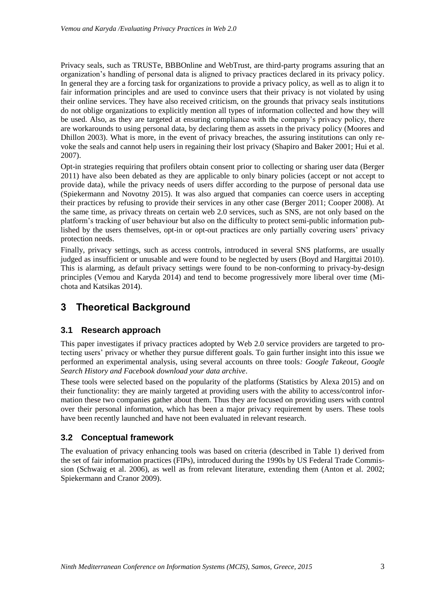Privacy seals, such as TRUSTe, BBBOnline and WebTrust, are third-party programs assuring that an organization's handling of personal data is aligned to privacy practices declared in its privacy policy. In general they are a forcing task for organizations to provide a privacy policy, as well as to align it to fair information principles and are used to convince users that their privacy is not violated by using their online services. They have also received criticism, on the grounds that privacy seals institutions do not oblige organizations to explicitly mention all types of information collected and how they will be used. Also, as they are targeted at ensuring compliance with the company's privacy policy, there are workarounds to using personal data, by declaring them as assets in the privacy policy (Moores and Dhillon 2003). What is more, in the event of privacy breaches, the assuring institutions can only revoke the seals and cannot help users in regaining their lost privacy (Shapiro and Baker 2001; Hui et al. 2007).

Opt-in strategies requiring that profilers obtain consent prior to collecting or sharing user data (Berger 2011) have also been debated as they are applicable to only binary policies (accept or not accept to provide data), while the privacy needs of users differ according to the purpose of personal data use (Spiekermann and Novotny 2015). It was also argued that companies can coerce users in accepting their practices by refusing to provide their services in any other case (Berger 2011; Cooper 2008). At the same time, as privacy threats on certain web 2.0 services, such as SNS, are not only based on the platform's tracking of user behaviour but also on the difficulty to protect semi-public information published by the users themselves, opt-in or opt-out practices are only partially covering users' privacy protection needs.

Finally, privacy settings, such as access controls, introduced in several SNS platforms, are usually judged as insufficient or unusable and were found to be neglected by users (Boyd and Hargittai 2010). This is alarming, as default privacy settings were found to be non-conforming to privacy-by-design principles (Vemou and Karyda 2014) and tend to become progressively more liberal over time (Michota and Katsikas 2014).

## **3 Theoretical Background**

#### **3.1 Research approach**

This paper investigates if privacy practices adopted by Web 2.0 service providers are targeted to protecting users' privacy or whether they pursue different goals. To gain further insight into this issue we performed an experimental analysis, using several accounts on three tools*: Google Takeout, Google Search History and Facebook download your data archive*.

These tools were selected based on the popularity of the platforms (Statistics by Alexa 2015) and on their functionality: they are mainly targeted at providing users with the ability to access/control information these two companies gather about them. Thus they are focused on providing users with control over their personal information, which has been a major privacy requirement by users. These tools have been recently launched and have not been evaluated in relevant research.

#### **3.2 Conceptual framework**

The evaluation of privacy enhancing tools was based on criteria (described in Table 1) derived from the set of fair information practices (FIPs), introduced during the 1990s by US Federal Trade Commission (Schwaig et al. 2006), as well as from relevant literature, extending them (Anton et al. 2002; Spiekermann and Cranor 2009).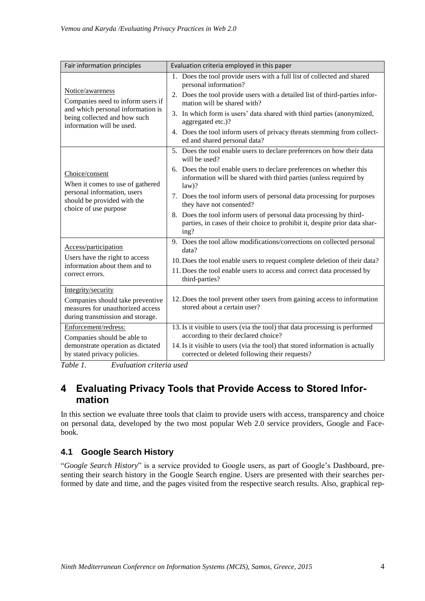| Fair information principles                                                                                                                             | Evaluation criteria employed in this paper                                                                                                                                                                                                                                                                                                                                                                                                                                                                         |
|---------------------------------------------------------------------------------------------------------------------------------------------------------|--------------------------------------------------------------------------------------------------------------------------------------------------------------------------------------------------------------------------------------------------------------------------------------------------------------------------------------------------------------------------------------------------------------------------------------------------------------------------------------------------------------------|
| Notice/awareness<br>Companies need to inform users if<br>and which personal information is<br>being collected and how such<br>information will be used. | 1. Does the tool provide users with a full list of collected and shared<br>personal information?<br>2. Does the tool provide users with a detailed list of third-parties infor-<br>mation will be shared with?<br>3. In which form is users' data shared with third parties (anonymized,<br>aggregated etc.)?<br>4. Does the tool inform users of privacy threats stemming from collect-<br>ed and shared personal data?                                                                                           |
| Choice/consent<br>When it comes to use of gathered<br>personal information, users<br>should be provided with the<br>choice of use purpose               | 5. Does the tool enable users to declare preferences on how their data<br>will be used?<br>6. Does the tool enable users to declare preferences on whether this<br>information will be shared with third parties (unless required by<br>$law$ ?<br>7. Does the tool inform users of personal data processing for purposes<br>they have not consented?<br>8. Does the tool inform users of personal data processing by third-<br>parties, in cases of their choice to prohibit it, despite prior data shar-<br>ing? |
| Access/participation<br>Users have the right to access<br>information about them and to<br>correct errors.<br>Integrity/security                        | 9. Does the tool allow modifications/corrections on collected personal<br>data?<br>10. Does the tool enable users to request complete deletion of their data?<br>11. Does the tool enable users to access and correct data processed by<br>third-parties?                                                                                                                                                                                                                                                          |
| Companies should take preventive<br>measures for unauthorized access<br>during transmission and storage.                                                | 12. Does the tool prevent other users from gaining access to information<br>stored about a certain user?                                                                                                                                                                                                                                                                                                                                                                                                           |
| Enforcement/redress:<br>Companies should be able to<br>demonstrate operation as dictated<br>by stated privacy policies.                                 | 13. Is it visible to users (via the tool) that data processing is performed<br>according to their declared choice?<br>14. Is it visible to users (via the tool) that stored information is actually<br>corrected or deleted following their requests?                                                                                                                                                                                                                                                              |

*Table 1. Evaluation criteria used*

## **4 Evaluating Privacy Tools that Provide Access to Stored Information**

In this section we evaluate three tools that claim to provide users with access, transparency and choice on personal data, developed by the two most popular Web 2.0 service providers, Google and Facebook.

## **4.1 Google Search History**

"*Google Search History*" is a service provided to Google users, as part of Google's Dashboard, presenting their search history in the Google Search engine. Users are presented with their searches performed by date and time, and the pages visited from the respective search results. Also, graphical rep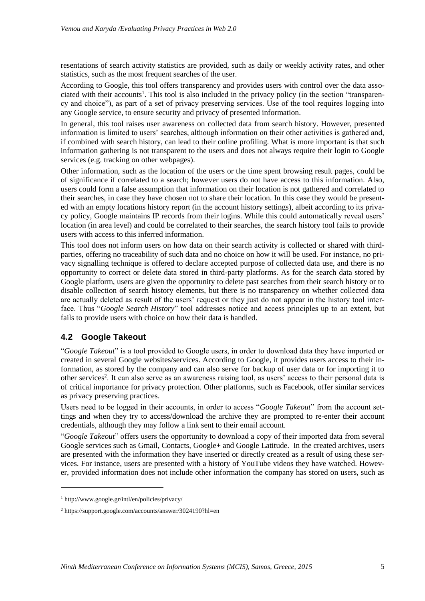resentations of search activity statistics are provided, such as daily or weekly activity rates, and other statistics, such as the most frequent searches of the user.

According to Google, this tool offers transparency and provides users with control over the data associated with their accounts<sup>1</sup>. This tool is also included in the privacy policy (in the section "transparency and choice"), as part of a set of privacy preserving services. Use of the tool requires logging into any Google service, to ensure security and privacy of presented information.

In general, this tool raises user awareness on collected data from search history. However, presented information is limited to users' searches, although information on their other activities is gathered and, if combined with search history, can lead to their online profiling. What is more important is that such information gathering is not transparent to the users and does not always require their login to Google services (e.g. tracking on other webpages).

Other information, such as the location of the users or the time spent browsing result pages, could be of significance if correlated to a search; however users do not have access to this information. Also, users could form a false assumption that information on their location is not gathered and correlated to their searches, in case they have chosen not to share their location. In this case they would be presented with an empty locations history report (in the account history settings), albeit according to its privacy policy, Google maintains IP records from their logins. While this could automatically reveal users' location (in area level) and could be correlated to their searches, the search history tool fails to provide users with access to this inferred information.

This tool does not inform users on how data on their search activity is collected or shared with thirdparties, offering no traceability of such data and no choice on how it will be used. For instance, no privacy signalling technique is offered to declare accepted purpose of collected data use, and there is no opportunity to correct or delete data stored in third-party platforms. As for the search data stored by Google platform, users are given the opportunity to delete past searches from their search history or to disable collection of search history elements, but there is no transparency on whether collected data are actually deleted as result of the users' request or they just do not appear in the history tool interface. Thus "*Google Search History*" tool addresses notice and access principles up to an extent, but fails to provide users with choice on how their data is handled.

#### **4.2 Google Takeout**

"*Google Takeout*" is a tool provided to Google users, in order to download data they have imported or created in several Google websites/services. According to Google, it provides users access to their information, as stored by the company and can also serve for backup of user data or for importing it to other services<sup>2</sup>. It can also serve as an awareness raising tool, as users' access to their personal data is of critical importance for privacy protection. Other platforms, such as Facebook, offer similar services as privacy preserving practices.

Users need to be logged in their accounts, in order to access "*Google Takeout*" from the account settings and when they try to access/download the archive they are prompted to re-enter their account credentials, although they may follow a link sent to their email account.

"*Google Takeout*" offers users the opportunity to download a copy of their imported data from several Google services such as Gmail, Contacts, Google+ and Google Latitude. In the created archives, users are presented with the information they have inserted or directly created as a result of using these services. For instance, users are presented with a history of YouTube videos they have watched. However, provided information does not include other information the company has stored on users, such as

1

<sup>1</sup> http://www.google.gr/intl/en/policies/privacy/

<sup>2</sup> https://support.google.com/accounts/answer/3024190?hl=en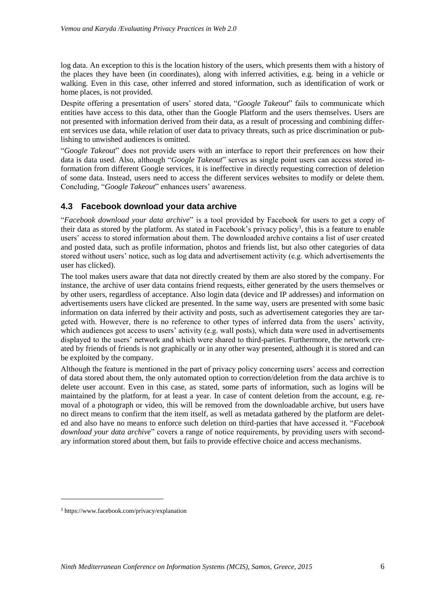log data. An exception to this is the location history of the users, which presents them with a history of the places they have been (in coordinates), along with inferred activities, e.g. being in a vehicle or walking. Even in this case, other inferred and stored information, such as identification of work or home places, is not provided.

Despite offering a presentation of users' stored data, "*Google Takeout*" fails to communicate which entities have access to this data, other than the Google Platform and the users themselves. Users are not presented with information derived from their data, as a result of processing and combining different services use data, while relation of user data to privacy threats, such as price discrimination or publishing to unwished audiences is omitted.

"*Google Takeout*" does not provide users with an interface to report their preferences on how their data is data used. Also, although "*Google Takeout*" serves as single point users can access stored information from different Google services, it is ineffective in directly requesting correction of deletion of some data. Instead, users need to access the different services websites to modify or delete them. Concluding, "*Google Takeout*" enhances users' awareness.

#### **4.3 Facebook download your data archive**

"*Facebook download your data archive*" is a tool provided by Facebook for users to get a copy of their data as stored by the platform. As stated in Facebook's privacy policy<sup>3</sup>, this is a feature to enable users' access to stored information about them. The downloaded archive contains a list of user created and posted data, such as profile information, photos and friends list, but also other categories of data stored without users' notice, such as log data and advertisement activity (e.g. which advertisements the user has clicked).

The tool makes users aware that data not directly created by them are also stored by the company. For instance, the archive of user data contains friend requests, either generated by the users themselves or by other users, regardless of acceptance. Also login data (device and IP addresses) and information on advertisements users have clicked are presented. In the same way, users are presented with some basic information on data inferred by their activity and posts, such as advertisement categories they are targeted with. However, there is no reference to other types of inferred data from the users' activity, which audiences got access to users' activity (e.g. wall posts), which data were used in advertisements displayed to the users' network and which were shared to third-parties. Furthermore, the network created by friends of friends is not graphically or in any other way presented, although it is stored and can be exploited by the company.

Although the feature is mentioned in the part of privacy policy concerning users' access and correction of data stored about them, the only automated option to correction/deletion from the data archive is to delete user account. Even in this case, as stated, some parts of information, such as logins will be maintained by the platform, for at least a year. In case of content deletion from the account, e.g. removal of a photograph or video, this will be removed from the downloadable archive, but users have no direct means to confirm that the item itself, as well as metadata gathered by the platform are deleted and also have no means to enforce such deletion on third-parties that have accessed it. "*Facebook download your data archive*" covers a range of notice requirements, by providing users with secondary information stored about them, but fails to provide effective choice and access mechanisms.

-

<sup>3</sup> https://www.facebook.com/privacy/explanation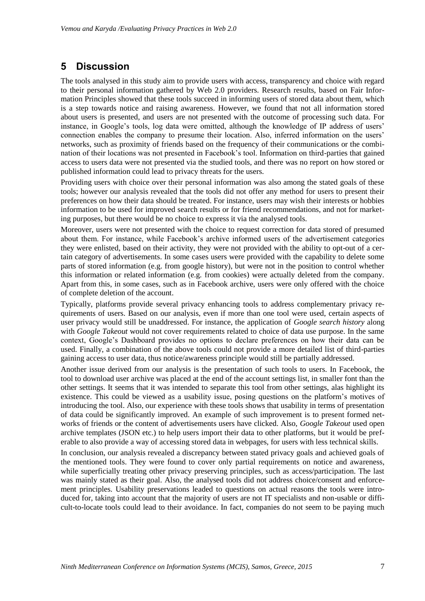## **5 Discussion**

The tools analysed in this study aim to provide users with access, transparency and choice with regard to their personal information gathered by Web 2.0 providers. Research results, based on Fair Information Principles showed that these tools succeed in informing users of stored data about them, which is a step towards notice and raising awareness. However, we found that not all information stored about users is presented, and users are not presented with the outcome of processing such data. For instance, in Google's tools, log data were omitted, although the knowledge of IP address of users' connection enables the company to presume their location. Also, inferred information on the users' networks, such as proximity of friends based on the frequency of their communications or the combination of their locations was not presented in Facebook's tool. Information on third-parties that gained access to users data were not presented via the studied tools, and there was no report on how stored or published information could lead to privacy threats for the users.

Providing users with choice over their personal information was also among the stated goals of these tools; however our analysis revealed that the tools did not offer any method for users to present their preferences on how their data should be treated. For instance, users may wish their interests or hobbies information to be used for improved search results or for friend recommendations, and not for marketing purposes, but there would be no choice to express it via the analysed tools.

Moreover, users were not presented with the choice to request correction for data stored of presumed about them. For instance, while Facebook's archive informed users of the advertisement categories they were enlisted, based on their activity, they were not provided with the ability to opt-out of a certain category of advertisements. In some cases users were provided with the capability to delete some parts of stored information (e.g. from google history), but were not in the position to control whether this information or related information (e.g. from cookies) were actually deleted from the company. Apart from this, in some cases, such as in Facebook archive, users were only offered with the choice of complete deletion of the account.

Typically, platforms provide several privacy enhancing tools to address complementary privacy requirements of users. Based on our analysis, even if more than one tool were used, certain aspects of user privacy would still be unaddressed. For instance, the application of *Google search history* along with *Google Takeout* would not cover requirements related to choice of data use purpose. In the same context, Google's Dashboard provides no options to declare preferences on how their data can be used. Finally, a combination of the above tools could not provide a more detailed list of third-parties gaining access to user data, thus notice/awareness principle would still be partially addressed.

Another issue derived from our analysis is the presentation of such tools to users. In Facebook, the tool to download user archive was placed at the end of the account settings list, in smaller font than the other settings. It seems that it was intended to separate this tool from other settings, alas highlight its existence. This could be viewed as a usability issue, posing questions on the platform's motives of introducing the tool. Also, our experience with these tools shows that usability in terms of presentation of data could be significantly improved. An example of such improvement is to present formed networks of friends or the content of advertisements users have clicked. Also, *Google Takeout* used open archive templates (JSON etc.) to help users import their data to other platforms, but it would be preferable to also provide a way of accessing stored data in webpages, for users with less technical skills.

In conclusion, our analysis revealed a discrepancy between stated privacy goals and achieved goals of the mentioned tools. They were found to cover only partial requirements on notice and awareness, while superficially treating other privacy preserving principles, such as access/participation. The last was mainly stated as their goal. Also, the analysed tools did not address choice/consent and enforcement principles. Usability preservations leaded to questions on actual reasons the tools were introduced for, taking into account that the majority of users are not IT specialists and non-usable or difficult-to-locate tools could lead to their avoidance. In fact, companies do not seem to be paying much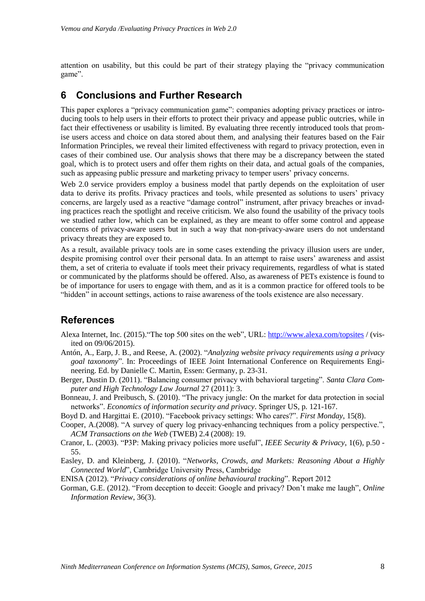attention on usability, but this could be part of their strategy playing the "privacy communication game".

## **6 Conclusions and Further Research**

This paper explores a "privacy communication game": companies adopting privacy practices or introducing tools to help users in their efforts to protect their privacy and appease public outcries, while in fact their effectiveness or usability is limited. By evaluating three recently introduced tools that promise users access and choice on data stored about them, and analysing their features based on the Fair Information Principles, we reveal their limited effectiveness with regard to privacy protection, even in cases of their combined use. Our analysis shows that there may be a discrepancy between the stated goal, which is to protect users and offer them rights on their data, and actual goals of the companies, such as appeasing public pressure and marketing privacy to temper users' privacy concerns.

Web 2.0 service providers employ a business model that partly depends on the exploitation of user data to derive its profits. Privacy practices and tools, while presented as solutions to users' privacy concerns, are largely used as a reactive "damage control" instrument, after privacy breaches or invading practices reach the spotlight and receive criticism. We also found the usability of the privacy tools we studied rather low, which can be explained, as they are meant to offer some control and appease concerns of privacy-aware users but in such a way that non-privacy-aware users do not understand privacy threats they are exposed to.

As a result, available privacy tools are in some cases extending the privacy illusion users are under, despite promising control over their personal data. In an attempt to raise users' awareness and assist them, a set of criteria to evaluate if tools meet their privacy requirements, regardless of what is stated or communicated by the platforms should be offered. Also, as awareness of PETs existence is found to be of importance for users to engage with them, and as it is a common practice for offered tools to be "hidden" in account settings, actions to raise awareness of the tools existence are also necessary.

## **References**

- Alexa Internet, Inc. (2015)."The top 500 sites on the web", URL: <http://www.alexa.com/topsites> / (visited on 09/06/2015).
- Antón, A., Earp, J. B., and Reese, A. (2002). "*Analyzing website privacy requirements using a privacy goal taxonomy*". In: Proceedings of IEEE Joint International Conference on Requirements Engineering. Ed. by Danielle C. Martin, Essen: Germany, p. 23-31.
- Berger, Dustin D. (2011). "Balancing consumer privacy with behavioral targeting". *Santa Clara Computer and High Technology Law Journal* 27 (2011): 3.
- Bonneau, J. and Preibusch, S. (2010). "The privacy jungle: On the market for data protection in social networks". *Economics of information security and privacy*. Springer US, p. 121-167.
- Boyd D. and Hargittai E. (2010). "Facebook privacy settings: Who cares?". *First Monday*, 15(8).
- Cooper, A.(2008). "A survey of query log privacy-enhancing techniques from a policy perspective.", *ACM Transactions on the Web* (TWEB) 2.4 (2008): 19.
- Cranor, L. (2003). "P3P: Making privacy policies more useful", *IEEE Security & Privacy*, 1(6), p.50 55.
- Easley, D. and Kleinberg, J. (2010). "*Networks, Crowds, and Markets: Reasoning About a Highly Connected World*", Cambridge University Press, Cambridge
- ENISA (2012). "*Privacy considerations of online behavioural tracking*". Report 2012
- Gorman, G.E. (2012). "From deception to deceit: Google and privacy? Don't make me laugh", *Online Information Review*, 36(3).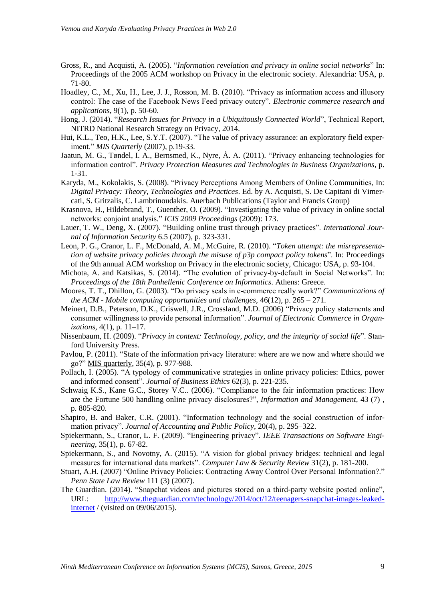- Gross, R., and Acquisti, A. (2005). "*Information revelation and privacy in online social networks*" In: Proceedings of the 2005 ACM workshop on Privacy in the electronic society. Alexandria: USA, p. 71-80.
- Hoadley, C., M., Xu, H., Lee, J. J., Rosson, M. B. (2010). "Privacy as information access and illusory control: The case of the Facebook News Feed privacy outcry". *Electronic commerce research and applications*, 9(1), p. 50-60.
- Hong, J. (2014). "*Research Issues for Privacy in a Ubiquitously Connected World*", Technical Report, NITRD National Research Strategy on Privacy, 2014.
- Hui, K.L., Teo, H.K., Lee, S.Y.T. (2007). "The value of privacy assurance: an exploratory field experiment." *MIS Quarterly* (2007), p.19-33.
- Jaatun, M. G., Tøndel, I. A., Bernsmed, K., Nyre, Å. A. (2011). "Privacy enhancing technologies for information control". *Privacy Protection Measures and Technologies in Business Organizations*, p. 1-31.
- Karyda, M., Kokolakis, S. (2008). "Privacy Perceptions Among Members of Online Communities, In: *Digital Privacy: Theory, Technologies and Practices*. Ed. by A. Acquisti, S. De Capitani di Vimercati, S. Gritzalis, C. Lambrinoudakis. Auerbach Publications (Taylor and Francis Group)
- Krasnova, H., Hildebrand, T., Guenther, O. (2009). "Investigating the value of privacy in online social networks: conjoint analysis." *ICIS 2009 Proceedings* (2009): 173.
- Lauer, T. W., Deng, X. (2007). "Building online trust through privacy practices". *International Journal of Information Security* 6.5 (2007), p. 323-331.
- Leon, P. G., Cranor, L. F., McDonald, A. M., McGuire, R. (2010). "*Token attempt: the misrepresentation of website privacy policies through the misuse of p3p compact policy tokens*". In: Proceedings of the 9th annual ACM workshop on Privacy in the electronic society, Chicago: USA, p. 93-104.
- Michota, A. and Katsikas, S. (2014). "The evolution of privacy-by-default in Social Networks". In: *Proceedings of the 18th Panhellenic Conference on Informatics*. Athens: Greece.
- Moores, T. T., Dhillon, G. (2003). "Do privacy seals in e-commerce really work?" *Communications of the ACM - Mobile computing opportunities and challenges,* 46(12), p. 265 – 271.
- Meinert, D.B., Peterson, D.K., Criswell, J.R., Crossland, M.D. (2006) "Privacy policy statements and consumer willingness to provide personal information". *Journal of Electronic Commerce in Organizations*, 4(1), p. 11–17.
- Nissenbaum, H. (2009). "*Privacy in context: Technology, policy, and the integrity of social life*". Stanford University Press.
- Pavlou, P. (2011). "State of the information privacy literature: where are we now and where should we go?" MIS quarterly, 35(4), p. 977-988.
- Pollach, I. (2005). "A typology of communicative strategies in online privacy policies: Ethics, power and informed consent". *Journal of Business Ethics* 62(3), p. 221-235.
- Schwaig K.S., Kane G.C., Storey V.C.. (2006). "Compliance to the fair information practices: How are the Fortune 500 handling online privacy disclosures?", *Information and Management*, 43 (7) , p. 805-820.
- Shapiro, B. and Baker, C.R. (2001). "Information technology and the social construction of information privacy". *Journal of Accounting and Public Policy*, 20(4), p. 295–322.
- Spiekermann, S., Cranor, L. F. (2009). "Engineering privacy". *IEEE Transactions on Software Engineering*, 35(1), p. 67-82.
- Spiekermann, S., and Novotny, A. (2015). "A vision for global privacy bridges: technical and legal measures for international data markets". *Computer Law & Security Review* 31(2), p. 181-200.
- Stuart, A.H. (2007) "Online Privacy Policies: Contracting Away Control Over Personal Information?." *Penn State Law Review* 111 (3) (2007).
- The Guardian. (2014). "Snapchat videos and pictures stored on a third-party website posted online", URL: [http://www.theguardian.com/technology/2014/oct/12/teenagers-snapchat-images-leaked](http://www.theguardian.com/technology/2014/oct/12/teenagers-snapchat-images-leaked-internet)[internet](http://www.theguardian.com/technology/2014/oct/12/teenagers-snapchat-images-leaked-internet) / (visited on 09/06/2015).